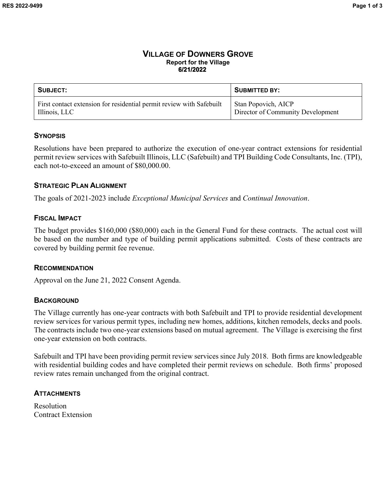#### **VILLAGE OF DOWNERS GROVE Report for the Village 6/21/2022**

| SUBJECT:                                                             | <b>SUBMITTED BY:</b>              |
|----------------------------------------------------------------------|-----------------------------------|
| First contact extension for residential permit review with Safebuilt | <b>Stan Popovich, AICP</b>        |
| Illinois, LLC                                                        | Director of Community Development |

#### **SYNOPSIS**

Resolutions have been prepared to authorize the execution of one-year contract extensions for residential permit review services with Safebuilt Illinois, LLC (Safebuilt) and TPI Building Code Consultants, Inc. (TPI), each not-to-exceed an amount of \$80,000.00.

# **STRATEGIC PLAN ALIGNMENT**

The goals of 2021-2023 include *Exceptional Municipal Services* and *Continual Innovation*.

#### **FISCAL IMPACT**

The budget provides \$160,000 (\$80,000) each in the General Fund for these contracts. The actual cost will be based on the number and type of building permit applications submitted. Costs of these contracts are covered by building permit fee revenue.

#### **RECOMMENDATION**

Approval on the June 21, 2022 Consent Agenda.

# **BACKGROUND**

The Village currently has one-year contracts with both Safebuilt and TPI to provide residential development review services for various permit types, including new homes, additions, kitchen remodels, decks and pools. The contracts include two one-year extensions based on mutual agreement. The Village is exercising the first one-year extension on both contracts.

Safebuilt and TPI have been providing permit review services since July 2018. Both firms are knowledgeable with residential building codes and have completed their permit reviews on schedule. Both firms' proposed review rates remain unchanged from the original contract.

# **ATTACHMENTS**

Resolution Contract Extension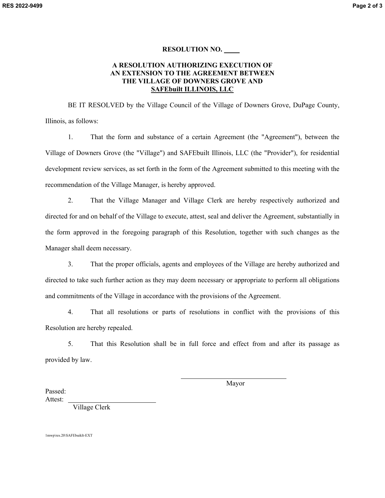#### **RESOLUTION NO.**

#### **A RESOLUTION AUTHORIZING EXECUTION OF AN EXTENSION TO THE AGREEMENT BETWEEN THE VILLAGE OF DOWNERS GROVE AND SAFEbuilt ILLINOIS, LLC**

BE IT RESOLVED by the Village Council of the Village of Downers Grove, DuPage County, Illinois, as follows:

1. That the form and substance of a certain Agreement (the "Agreement"), between the Village of Downers Grove (the "Village") and SAFEbuilt Illinois, LLC (the "Provider"), for residential development review services, as set forth in the form of the Agreement submitted to this meeting with the recommendation of the Village Manager, is hereby approved.

2. That the Village Manager and Village Clerk are hereby respectively authorized and directed for and on behalf of the Village to execute, attest, seal and deliver the Agreement, substantially in the form approved in the foregoing paragraph of this Resolution, together with such changes as the Manager shall deem necessary.

3. That the proper officials, agents and employees of the Village are hereby authorized and directed to take such further action as they may deem necessary or appropriate to perform all obligations and commitments of the Village in accordance with the provisions of the Agreement.

4. That all resolutions or parts of resolutions in conflict with the provisions of this Resolution are hereby repealed.

5. That this Resolution shall be in full force and effect from and after its passage as provided by law.

 $\overline{\phantom{0}}$ 

Mayor

Passed: Attest:

Village Clerk

1mwp\res.20\SAFEbuiklt-EXT